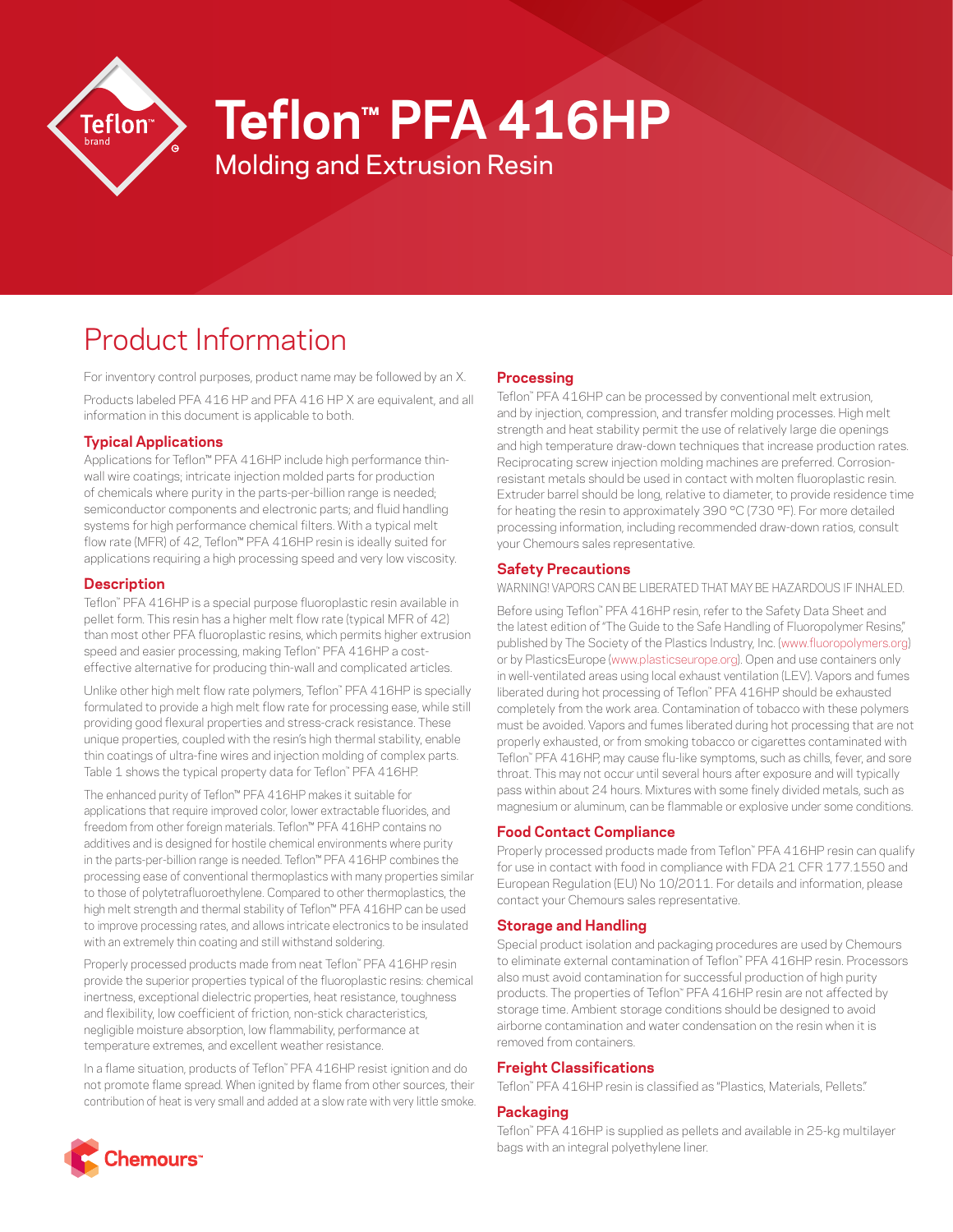

**Teflon™ PFA 416HP**

Molding and Extrusion Resin

# Product Information

For inventory control purposes, product name may be followed by an X. Products labeled PFA 416 HP and PFA 416 HP X are equivalent, and all information in this document is applicable to both.

# **Typical Applications**

Applications for Teflon™ PFA 416HP include high performance thinwall wire coatings; intricate injection molded parts for production of chemicals where purity in the parts-per-billion range is needed; semiconductor components and electronic parts; and fluid handling systems for high performance chemical filters. With a typical melt flow rate (MFR) of 42, Teflon™ PFA 416HP resin is ideally suited for applications requiring a high processing speed and very low viscosity.

## **Description**

Teflon™ PFA 416HP is a special purpose fluoroplastic resin available in pellet form. This resin has a higher melt flow rate (typical MFR of 42) than most other PFA fluoroplastic resins, which permits higher extrusion speed and easier processing, making Teflon™ PFA 416HP a costeffective alternative for producing thin-wall and complicated articles.

Unlike other high melt flow rate polymers, Teflon™ PFA 416HP is specially formulated to provide a high melt flow rate for processing ease, while still providing good flexural properties and stress-crack resistance. These unique properties, coupled with the resin's high thermal stability, enable thin coatings of ultra-fine wires and injection molding of complex parts. Table 1 shows the typical property data for Teflon™ PFA 416HP.

The enhanced purity of Teflon™ PFA 416HP makes it suitable for applications that require improved color, lower extractable fluorides, and freedom from other foreign materials. Teflon™ PFA 416HP contains no additives and is designed for hostile chemical environments where purity in the parts-per-billion range is needed. Teflon™ PFA 416HP combines the processing ease of conventional thermoplastics with many properties similar to those of polytetrafluoroethylene. Compared to other thermoplastics, the high melt strength and thermal stability of Teflon™ PFA 416HP can be used to improve processing rates, and allows intricate electronics to be insulated with an extremely thin coating and still withstand soldering.

Properly processed products made from neat Teflon™ PFA 416HP resin provide the superior properties typical of the fluoroplastic resins: chemical inertness, exceptional dielectric properties, heat resistance, toughness and flexibility, low coefficient of friction, non-stick characteristics, negligible moisture absorption, low flammability, performance at temperature extremes, and excellent weather resistance.

In a flame situation, products of Teflon™ PFA 416HP resist ignition and do not promote flame spread. When ignited by flame from other sources, their contribution of heat is very small and added at a slow rate with very little smoke.

# **Processing**

Teflon™ PFA 416HP can be processed by conventional melt extrusion, and by injection, compression, and transfer molding processes. High melt strength and heat stability permit the use of relatively large die openings and high temperature draw-down techniques that increase production rates. Reciprocating screw injection molding machines are preferred. Corrosionresistant metals should be used in contact with molten fluoroplastic resin. Extruder barrel should be long, relative to diameter, to provide residence time for heating the resin to approximately 390 °C (730 °F). For more detailed processing information, including recommended draw-down ratios, consult your Chemours sales representative.

# **Safety Precautions**

WARNING! VAPORS CAN BE LIBERATED THAT MAY BE HAZARDOUS IF INHALED.

Before using Teflon™ PFA 416HP resin, refer to the Safety Data Sheet and the latest edition of "The Guide to the Safe Handling of Fluoropolymer Resins," published by The Society of the Plastics Industry, Inc. [\(www.fluoropolymers.org\)](http://www.fluoropolymers.org) or by PlasticsEurope ([www.plasticseurope.org](http://www.plasticseurope.org)). Open and use containers only in well-ventilated areas using local exhaust ventilation (LEV). Vapors and fumes liberated during hot processing of Teflon™ PFA 416HP should be exhausted completely from the work area. Contamination of tobacco with these polymers must be avoided. Vapors and fumes liberated during hot processing that are not properly exhausted, or from smoking tobacco or cigarettes contaminated with Teflon™ PFA 416HP, may cause flu-like symptoms, such as chills, fever, and sore throat. This may not occur until several hours after exposure and will typically pass within about 24 hours. Mixtures with some finely divided metals, such as magnesium or aluminum, can be flammable or explosive under some conditions.

## **Food Contact Compliance**

Properly processed products made from Teflon™ PFA 416HP resin can qualify for use in contact with food in compliance with FDA 21 CFR 177.1550 and European Regulation (EU) No 10/2011. For details and information, please contact your Chemours sales representative.

## **Storage and Handling**

Special product isolation and packaging procedures are used by Chemours to eliminate external contamination of Teflon™ PFA 416HP resin. Processors also must avoid contamination for successful production of high purity products. The properties of Teflon™ PFA 416HP resin are not affected by storage time. Ambient storage conditions should be designed to avoid airborne contamination and water condensation on the resin when it is removed from containers.

## **Freight Classifications**

Teflon™ PFA 416HP resin is classified as "Plastics, Materials, Pellets."

## **Packaging**

Teflon™ PFA 416HP is supplied as pellets and available in 25-kg multilayer bags with an integral polyethylene liner.